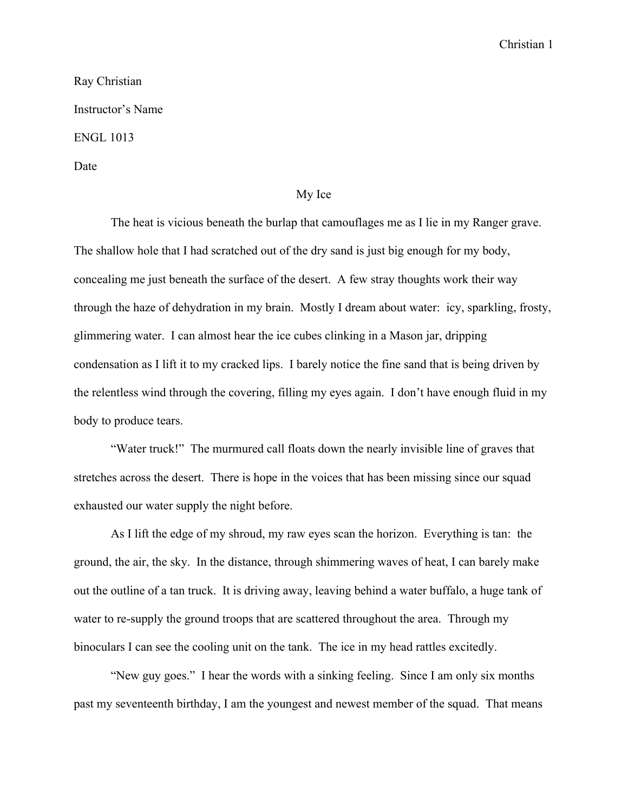## Christian 1

## Ray Christian Instructor's Name ENGL 1013 Date

## My Ice

The heat is vicious beneath the burlap that camouflages me as I lie in my Ranger grave. The shallow hole that I had scratched out of the dry sand is just big enough for my body, concealing me just beneath the surface of the desert. A few stray thoughts work their way through the haze of dehydration in my brain. Mostly I dream about water: icy, sparkling, frosty, glimmering water. I can almost hear the ice cubes clinking in a Mason jar, dripping condensation as I lift it to my cracked lips. I barely notice the fine sand that is being driven by the relentless wind through the covering, filling my eyes again. I don't have enough fluid in my body to produce tears.

"Water truck!" The murmured call floats down the nearly invisible line of graves that stretches across the desert. There is hope in the voices that has been missing since our squad exhausted our water supply the night before.

As I lift the edge of my shroud, my raw eyes scan the horizon. Everything is tan: the ground, the air, the sky. In the distance, through shimmering waves of heat, I can barely make out the outline of a tan truck. It is driving away, leaving behind a water buffalo, a huge tank of water to re-supply the ground troops that are scattered throughout the area. Through my binoculars I can see the cooling unit on the tank. The ice in my head rattles excitedly.

"New guy goes." I hear the words with a sinking feeling. Since I am only six months past my seventeenth birthday, I am the youngest and newest member of the squad. That means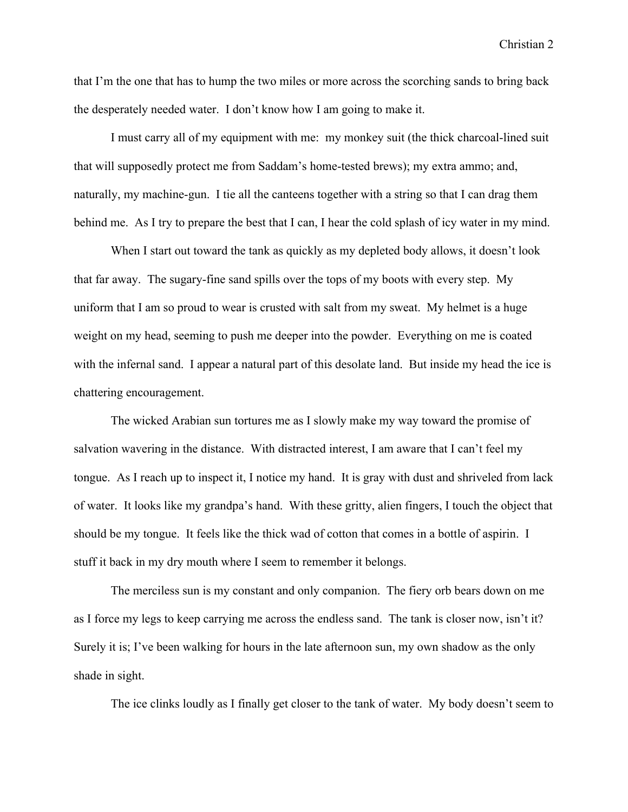Christian 2

that I'm the one that has to hump the two miles or more across the scorching sands to bring back the desperately needed water. I don't know how I am going to make it.

I must carry all of my equipment with me: my monkey suit (the thick charcoal-lined suit that will supposedly protect me from Saddam's home-tested brews); my extra ammo; and, naturally, my machine-gun. I tie all the canteens together with a string so that I can drag them behind me. As I try to prepare the best that I can, I hear the cold splash of icy water in my mind.

When I start out toward the tank as quickly as my depleted body allows, it doesn't look that far away. The sugary-fine sand spills over the tops of my boots with every step. My uniform that I am so proud to wear is crusted with salt from my sweat. My helmet is a huge weight on my head, seeming to push me deeper into the powder. Everything on me is coated with the infernal sand. I appear a natural part of this desolate land. But inside my head the ice is chattering encouragement.

The wicked Arabian sun tortures me as I slowly make my way toward the promise of salvation wavering in the distance. With distracted interest, I am aware that I can't feel my tongue. As I reach up to inspect it, I notice my hand. It is gray with dust and shriveled from lack of water. It looks like my grandpa's hand. With these gritty, alien fingers, I touch the object that should be my tongue. It feels like the thick wad of cotton that comes in a bottle of aspirin. I stuff it back in my dry mouth where I seem to remember it belongs.

The merciless sun is my constant and only companion. The fiery orb bears down on me as I force my legs to keep carrying me across the endless sand. The tank is closer now, isn't it? Surely it is; I've been walking for hours in the late afternoon sun, my own shadow as the only shade in sight.

The ice clinks loudly as I finally get closer to the tank of water. My body doesn't seem to